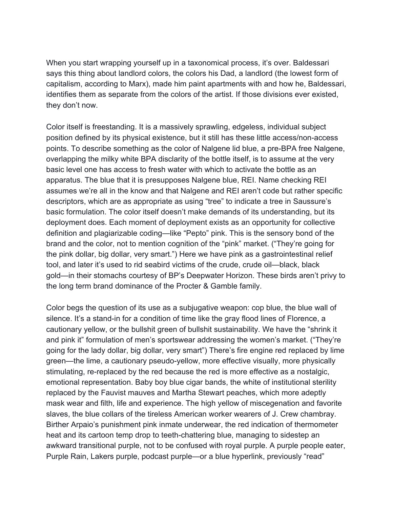When you start wrapping yourself up in a taxonomical process, it's over. Baldessari says this thing about landlord colors, the colors his Dad, a landlord (the lowest form of capitalism, according to Marx), made him paint apartments with and how he, Baldessari, identifies them as separate from the colors of the artist. If those divisions ever existed, they don't now.

Color itself is freestanding. It is a massively sprawling, edgeless, individual subject position defined by its physical existence, but it still has these little access/non-access points. To describe something as the color of Nalgene lid blue, a pre-BPA free Nalgene, overlapping the milky white BPA disclarity of the bottle itself, is to assume at the very basic level one has access to fresh water with which to activate the bottle as an apparatus. The blue that it is presupposes Nalgene blue, REI. Name checking REI assumes we're all in the know and that Nalgene and REI aren't code but rather specific descriptors, which are as appropriate as using "tree" to indicate a tree in Saussure's basic formulation. The color itself doesn't make demands of its understanding, but its deployment does. Each moment of deployment exists as an opportunity for collective definition and plagiarizable coding—like "Pepto" pink. This is the sensory bond of the brand and the color, not to mention cognition of the "pink" market. ("They're going for the pink dollar, big dollar, very smart.") Here we have pink as a gastrointestinal relief tool, and later it's used to rid seabird victims of the crude, crude oil—black, black gold—in their stomachs courtesy of BP's Deepwater Horizon. These birds aren't privy to the long term brand dominance of the Procter & Gamble family.

Color begs the question of its use as a subjugative weapon: cop blue, the blue wall of silence. It's a stand-in for a condition of time like the gray flood lines of Florence, a cautionary yellow, or the bullshit green of bullshit sustainability. We have the "shrink it and pink it" formulation of men's sportswear addressing the women's market. ("They're going for the lady dollar, big dollar, very smart") There's fire engine red replaced by lime green—the lime, a cautionary pseudo-yellow, more effective visually, more physically stimulating, re-replaced by the red because the red is more effective as a nostalgic, emotional representation. Baby boy blue cigar bands, the white of institutional sterility replaced by the Fauvist mauves and Martha Stewart peaches, which more adeptly mask wear and filth, life and experience. The high yellow of miscegenation and favorite slaves, the blue collars of the tireless American worker wearers of J. Crew chambray. Birther Arpaio's punishment pink inmate underwear, the red indication of thermometer heat and its cartoon temp drop to teeth-chattering blue, managing to sidestep an awkward transitional purple, not to be confused with royal purple. A purple people eater, Purple Rain, Lakers purple, podcast purple—or a blue hyperlink, previously "read"